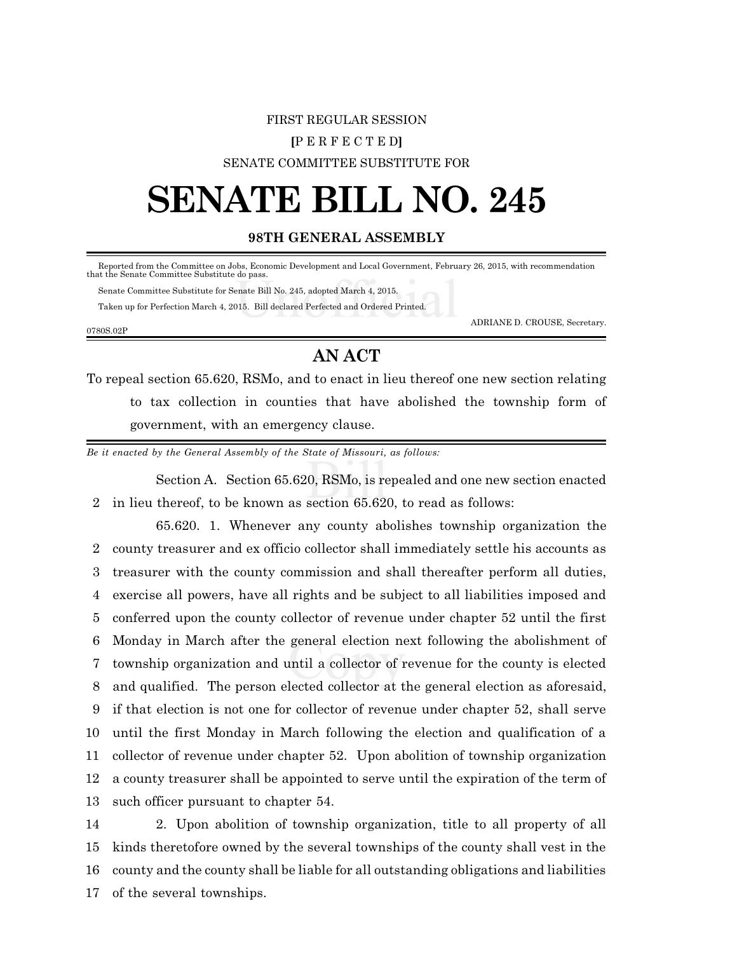## FIRST REGULAR SESSION **[**P E R F E C T E D**]** SENATE COMMITTEE SUBSTITUTE FOR

## **SENATE BILL NO. 245**

## **98TH GENERAL ASSEMBLY**

Reported from the Committee on Jobs, Economic Development and Local Government, February 26, 2015, with recommendation that the Senate Committee Substitute do pass.

 Senate Committee Substitute for Senate Bill No. 245, adopted March 4, 2015. Taken up for Perfection March 4, 2015. Bill declared Perfected and Ordered Printed.

0780S.02P

ADRIANE D. CROUSE, Secretary.

## **AN ACT**

To repeal section 65.620, RSMo, and to enact in lieu thereof one new section relating to tax collection in counties that have abolished the township form of government, with an emergency clause.

*Be it enacted by the General Assembly of the State of Missouri, as follows:*

Section A. Section 65.620, RSMo, is repealed and one new section enacted 2 in lieu thereof, to be known as section 65.620, to read as follows:

65.620. 1. Whenever any county abolishes township organization the county treasurer and ex officio collector shall immediately settle his accounts as treasurer with the county commission and shall thereafter perform all duties, exercise all powers, have all rights and be subject to all liabilities imposed and conferred upon the county collector of revenue under chapter 52 until the first Monday in March after the general election next following the abolishment of township organization and until a collector of revenue for the county is elected and qualified. The person elected collector at the general election as aforesaid, if that election is not one for collector of revenue under chapter 52, shall serve until the first Monday in March following the election and qualification of a collector of revenue under chapter 52. Upon abolition of township organization a county treasurer shall be appointed to serve until the expiration of the term of such officer pursuant to chapter 54.

 2. Upon abolition of township organization, title to all property of all kinds theretofore owned by the several townships of the county shall vest in the county and the county shall be liable for all outstanding obligations and liabilities of the several townships.